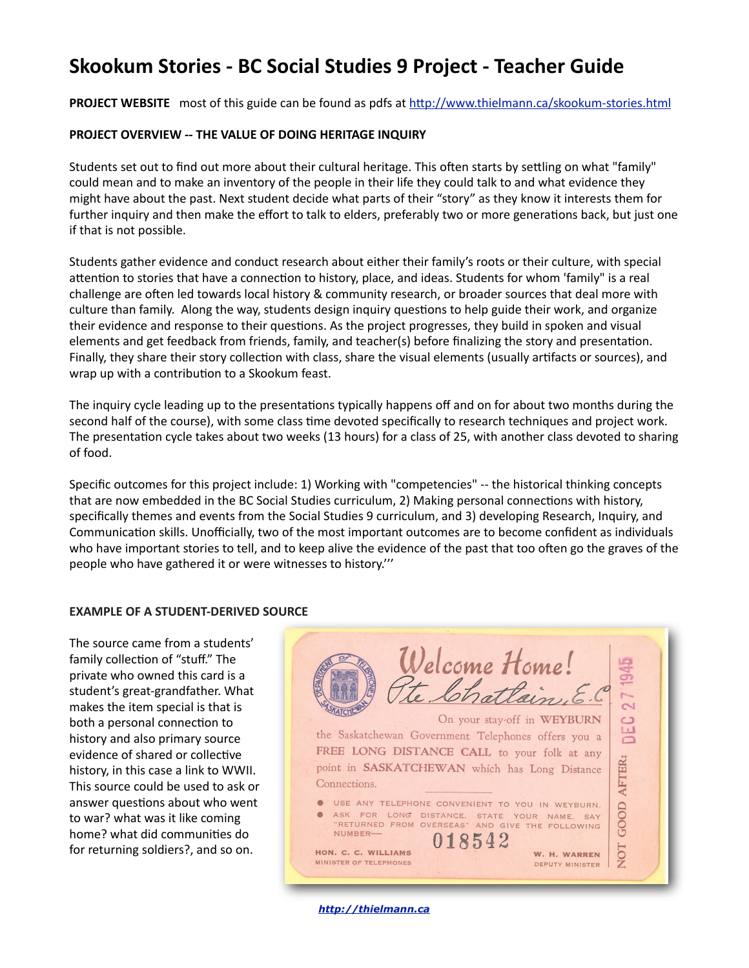# **Skookum Stories - BC Social Studies 9 Project - Teacher Guide**

**PROJECT WEBSITE** most of this guide can be found as pdfs at http://www.thielmann.ca/skookum-stories.html

# **PROJECT OVERVIEW -- THE VALUE OF DOING HERITAGE INQUIRY**

Students set out to find out more about their cultural heritage. This often starts by settling on what "family" could mean and to make an inventory of the people in their life they could talk to and what evidence they might have about the past. Next student decide what parts of their "story" as they know it interests them for further inquiry and then make the effort to talk to elders, preferably two or more generations back, but just one if that is not possible.

Students gather evidence and conduct research about either their family's roots or their culture, with special attention to stories that have a connection to history, place, and ideas. Students for whom 'family" is a real challenge are often led towards local history & community research, or broader sources that deal more with culture than family. Along the way, students design inquiry questions to help guide their work, and organize their evidence and response to their questions. As the project progresses, they build in spoken and visual elements and get feedback from friends, family, and teacher(s) before finalizing the story and presentation. Finally, they share their story collection with class, share the visual elements (usually artifacts or sources), and wrap up with a contribution to a Skookum feast.

The inquiry cycle leading up to the presentations typically happens off and on for about two months during the second half of the course), with some class time devoted specifically to research techniques and project work. The presentation cycle takes about two weeks (13 hours) for a class of 25, with another class devoted to sharing of food.

Specific outcomes for this project include: 1) Working with "competencies" -- the historical thinking concepts that are now embedded in the BC Social Studies curriculum, 2) Making personal connections with history, specifically themes and events from the Social Studies 9 curriculum, and 3) developing Research, Inquiry, and Communication skills. Unofficially, two of the most important outcomes are to become confident as individuals who have important stories to tell, and to keep alive the evidence of the past that too often go the graves of the people who have gathered it or were witnesses to history."

# **EXAMPLE OF A STUDENT-DERIVED SOURCE**

The source came from a students' family collection of "stuff." The private who owned this card is a student's great-grandfather. What makes the item special is that is both a personal connection to history and also primary source evidence of shared or collective history, in this case a link to WWII. This source could be used to ask or answer questions about who went to war? what was it like coming home? what did communities do for returning soldiers?, and so on.

Welcome Home!<br>Ite Chatlain  $\overline{\mathcal{C}}$  $\frac{c}{d}$ On your stay-off in WEYBURN the Saskatchewan Government Telephones offers you a FREE LONG DISTANCE CALL to your folk at any AFTER: point in SASKATCHEWAN which has Long Distance Connections. O USE ANY TELEPHONE CONVENIENT TO YOU IN WEYBURN. GOOD ASK FOR LONG DISTANCE, STATE YOUR NAME, SAY<br>"RETURNED FROM OVERSEAS" AND GIVE THE FOLLOWING  $\bullet$ NUMBER-018542 NOT HON. C. C. WILLIAMS W. H. WARREN MINISTER OF TELEPHONES DEPUTY MINISTER

 *<http://thielmann.ca>*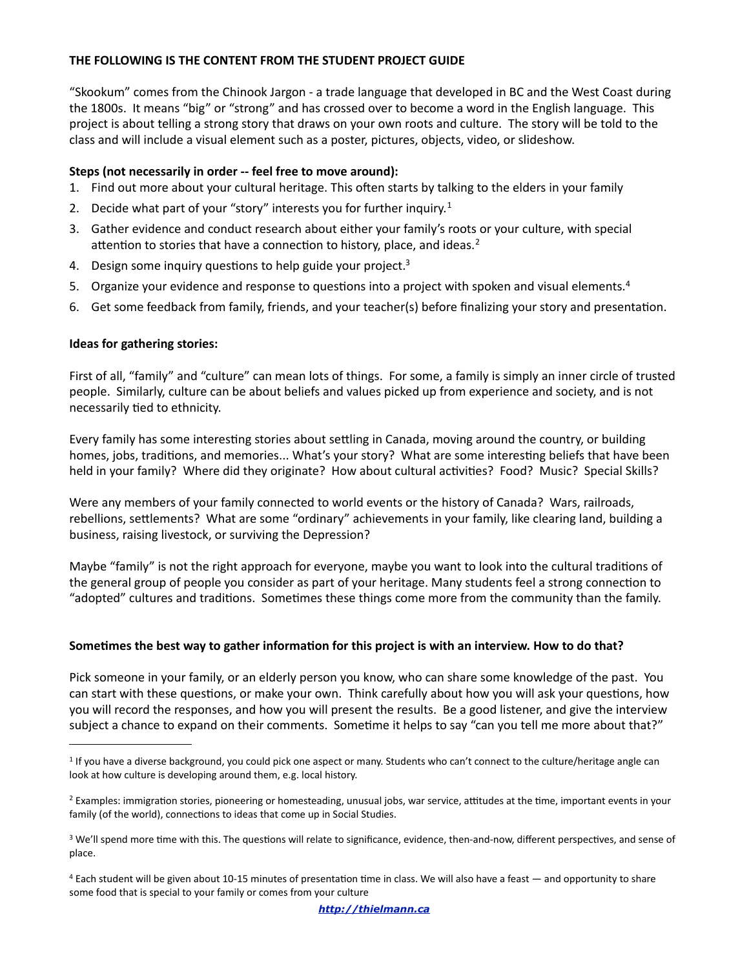# **THE FOLLOWING IS THE CONTENT FROM THE STUDENT PROJECT GUIDE**

"Skookum" comes from the Chinook Jargon - a trade language that developed in BC and the West Coast during the 1800s. It means "big" or "strong" and has crossed over to become a word in the English language. This project is about telling a strong story that draws on your own roots and culture. The story will be told to the class and will include a visual element such as a poster, pictures, objects, video, or slideshow.

#### **Steps (not necessarily in order -- feel free to move around):**

- 1. Find out more about your cultural heritage. This often starts by talking to the elders in your family
- 2. Decide what part of your "story" interests you for further inquiry.<sup>[1](#page-1-0)</sup>
- 3. Gather evidence and conduct research about either your family's roots or your culture, with special attention to stories that have a connection to history, place, and ideas.<sup>[2](#page-1-1)</sup>
- 4. Design some inquiry questions to help guide your project.<sup>[3](#page-1-2)</sup>
- 5. Organize your evidence and response to questions into a project with spoken and visual elements.<sup>[4](#page-1-3)</sup>
- 6. Get some feedback from family, friends, and your teacher(s) before finalizing your story and presentation.

#### **Ideas for gathering stories:**

First of all, "family" and "culture" can mean lots of things. For some, a family is simply an inner circle of trusted people. Similarly, culture can be about beliefs and values picked up from experience and society, and is not necessarily tied to ethnicity.

Every family has some interesting stories about settling in Canada, moving around the country, or building homes, jobs, traditions, and memories... What's your story? What are some interesting beliefs that have been held in your family? Where did they originate? How about cultural activities? Food? Music? Special Skills?

Were any members of your family connected to world events or the history of Canada? Wars, railroads, rebellions, settlements? What are some "ordinary" achievements in your family, like clearing land, building a business, raising livestock, or surviving the Depression?

Maybe "family" is not the right approach for everyone, maybe you want to look into the cultural traditions of the general group of people you consider as part of your heritage. Many students feel a strong connection to "adopted" cultures and traditions. Sometimes these things come more from the community than the family.

#### Sometimes the best way to gather information for this project is with an interview. How to do that?

Pick someone in your family, or an elderly person you know, who can share some knowledge of the past. You can start with these questions, or make your own. Think carefully about how you will ask your questions, how you will record the responses, and how you will present the results. Be a good listener, and give the interview subject a chance to expand on their comments. Sometime it helps to say "can you tell me more about that?"

 *<http://thielmann.ca>*

<span id="page-1-0"></span><sup>&</sup>lt;sup>1</sup> If you have a diverse background, you could pick one aspect or many. Students who can't connect to the culture/heritage angle can look at how culture is developing around them, e.g. local history.

<span id="page-1-1"></span><sup>&</sup>lt;sup>2</sup> Examples: immigration stories, pioneering or homesteading, unusual jobs, war service, attitudes at the time, important events in your family (of the world), connections to ideas that come up in Social Studies.

<span id="page-1-2"></span><sup>&</sup>lt;sup>3</sup> We'll spend more time with this. The questions will relate to significance, evidence, then-and-now, different perspectives, and sense of place.

<span id="page-1-3"></span><sup>&</sup>lt;sup>4</sup> Each student will be given about 10-15 minutes of presentation time in class. We will also have a feast — and opportunity to share some food that is special to your family or comes from your culture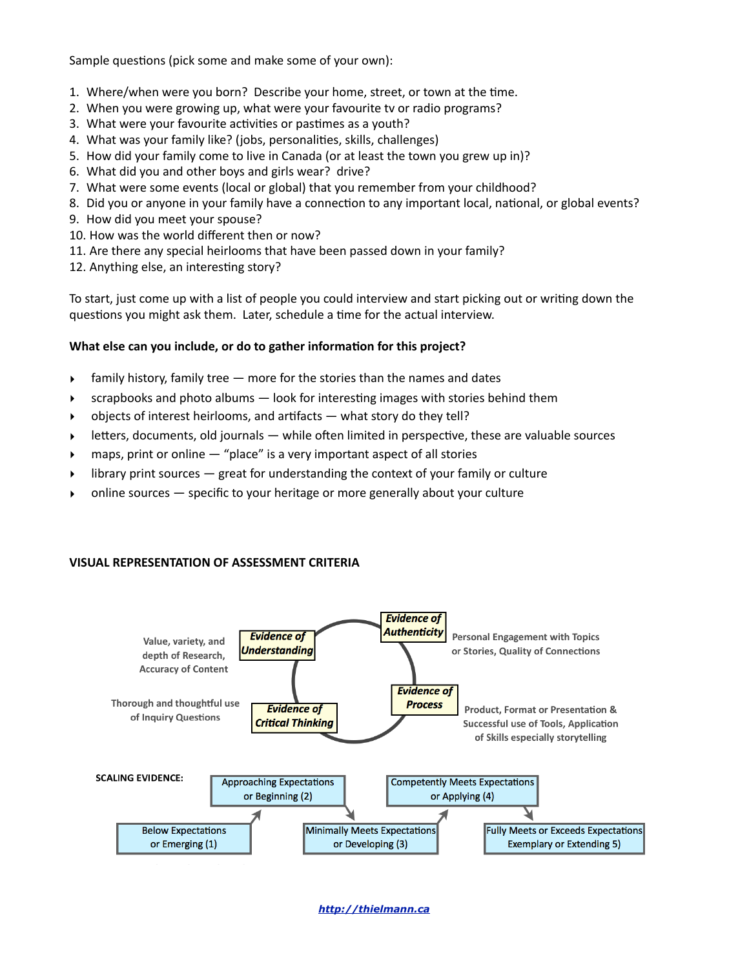Sample questions (pick some and make some of your own):

- 1. Where/when were you born? Describe your home, street, or town at the time.
- 2. When you were growing up, what were your favourite tv or radio programs?
- 3. What were your favourite activities or pastimes as a youth?
- 4. What was your family like? (jobs, personalities, skills, challenges)
- 5. How did your family come to live in Canada (or at least the town you grew up in)?
- 6. What did you and other boys and girls wear? drive?
- 7. What were some events (local or global) that you remember from your childhood?
- 8. Did you or anyone in your family have a connection to any important local, national, or global events?
- 9. How did you meet your spouse?
- 10. How was the world different then or now?
- 11. Are there any special heirlooms that have been passed down in your family?
- 12. Anything else, an interesting story?

To start, just come up with a list of people you could interview and start picking out or writing down the questions you might ask them. Later, schedule a time for the actual interview.

# What else can you include, or do to gather information for this project?

- $\longrightarrow$  family history, family tree  $-$  more for the stories than the names and dates
- $\triangleright$  scrapbooks and photo albums look for interesting images with stories behind them
- objects of interest heirlooms, and artifacts  $-$  what story do they tell?
- $\blacktriangleright$  letters, documents, old journals while often limited in perspective, these are valuable sources
- maps, print or online  $-$  "place" is a very important aspect of all stories
- library print sources  $-$  great for understanding the context of your family or culture
- online sources  $-$  specific to your heritage or more generally about your culture

# **VISUAL REPRESENTATION OF ASSESSMENT CRITERIA**



 *<http://thielmann.ca>*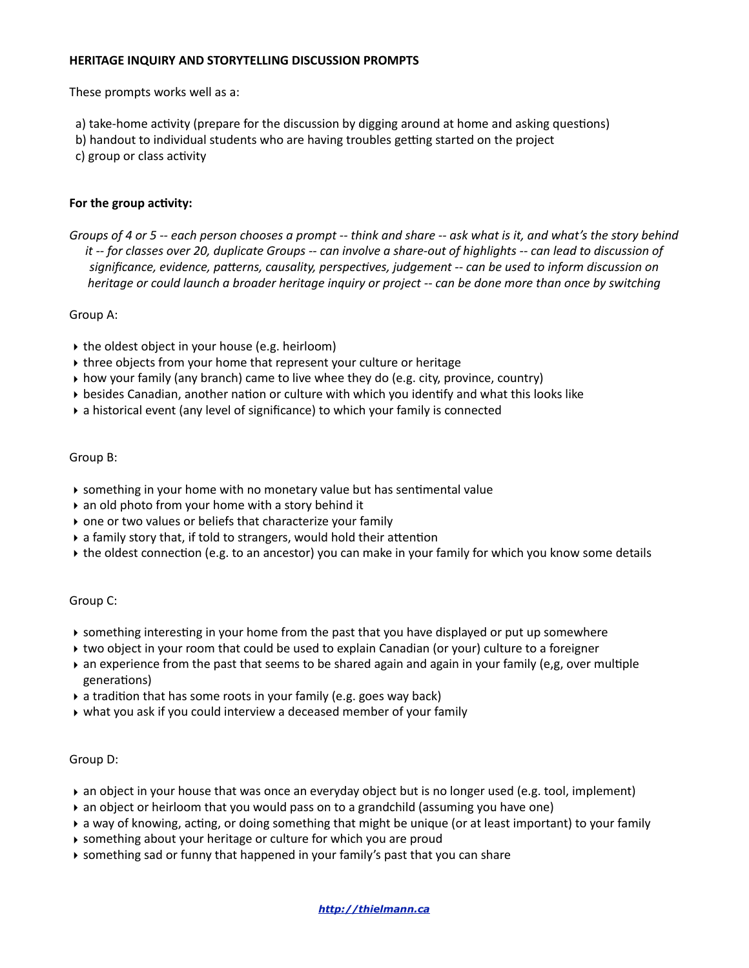#### **HERITAGE INQUIRY AND STORYTELLING DISCUSSION PROMPTS**

These prompts works well as a:

a) take-home activity (prepare for the discussion by digging around at home and asking questions)

b) handout to individual students who are having troubles getting started on the project

c) group or class activity

# For the group activity:

*Groups* of 4 or 5 -- each person chooses a prompt -- think and share -- ask what is it, and what's the story behind *it* -- for classes over 20, duplicate Groups -- can involve a share-out of highlights -- can lead to discussion of significance, evidence, patterns, causality, perspectives, judgement -- can be used to inform discussion on *heritage* or could launch a broader heritage inquiry or project -- can be done more than once by switching

Group A:

- $\rightarrow$  the oldest object in your house (e.g. heirloom)
- If three objects from your home that represent your culture or heritage
- $\rightarrow$  how your family (any branch) came to live whee they do (e.g. city, province, country)
- $\rightarrow$  besides Canadian, another nation or culture with which you identify and what this looks like
- $\rightarrow$  a historical event (any level of significance) to which your family is connected

# Group B:

- $\rightarrow$  something in your home with no monetary value but has sentimental value
- $\rightarrow$  an old photo from your home with a story behind it
- $\rightarrow$  one or two values or beliefs that characterize your family
- $\rightarrow$  a family story that, if told to strangers, would hold their attention
- ▶ the oldest connection (e.g. to an ancestor) you can make in your family for which you know some details

# Group C:

- $\triangleright$  something interesting in your home from the past that you have displayed or put up somewhere
- ▶ two object in your room that could be used to explain Canadian (or your) culture to a foreigner
- $\triangleright$  an experience from the past that seems to be shared again and again in your family (e,g, over multiple generations)
- $\rightarrow$  a tradition that has some roots in your family (e.g. goes way back)
- $\rightarrow$  what you ask if you could interview a deceased member of your family

# Group D:

- ightharpoon in your house that was once an everyday object but is no longer used (e.g. tool, implement)
- $\triangleright$  an object or heirloom that you would pass on to a grandchild (assuming you have one)
- ▶ a way of knowing, acting, or doing something that might be unique (or at least important) to your family
- $\rightarrow$  something about your heritage or culture for which you are proud
- $\triangleright$  something sad or funny that happened in your family's past that you can share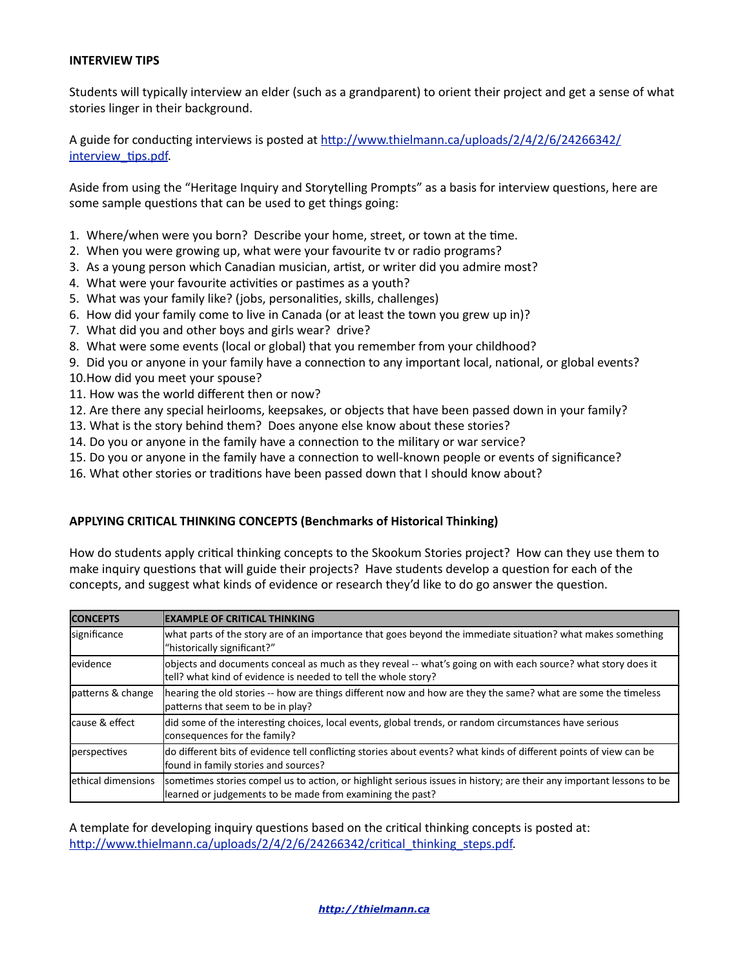#### **INTERVIEW TIPS**

Students will typically interview an elder (such as a grandparent) to orient their project and get a sense of what stories linger in their background.

A guide for conducting interviews is posted at http://www.thielmann.ca/uploads/2/4/2/6/24266342/ interview tips.pdf

Aside from using the "Heritage Inquiry and Storytelling Prompts" as a basis for interview questions, here are some sample questions that can be used to get things going:

- 1. Where/when were you born? Describe your home, street, or town at the time.
- 2. When you were growing up, what were your favourite tv or radio programs?
- 3. As a young person which Canadian musician, artist, or writer did you admire most?
- 4. What were your favourite activities or pastimes as a youth?
- 5. What was your family like? (jobs, personalities, skills, challenges)
- 6. How did your family come to live in Canada (or at least the town you grew up in)?
- 7. What did you and other boys and girls wear? drive?
- 8. What were some events (local or global) that you remember from your childhood?
- 9. Did you or anyone in your family have a connection to any important local, national, or global events?
- 10. How did you meet your spouse?
- 11. How was the world different then or now?
- 12. Are there any special heirlooms, keepsakes, or objects that have been passed down in your family?
- 13. What is the story behind them? Does anyone else know about these stories?
- 14. Do you or anyone in the family have a connection to the military or war service?
- 15. Do you or anyone in the family have a connection to well-known people or events of significance?
- 16. What other stories or traditions have been passed down that I should know about?

# **APPLYING CRITICAL THINKING CONCEPTS (Benchmarks of Historical Thinking)**

How do students apply critical thinking concepts to the Skookum Stories project? How can they use them to make inquiry questions that will guide their projects? Have students develop a question for each of the concepts, and suggest what kinds of evidence or research they'd like to do go answer the question.

| <b>CONCEPTS</b>     | <b>EXAMPLE OF CRITICAL THINKING</b>                                                                                                                                               |  |  |  |  |
|---------------------|-----------------------------------------------------------------------------------------------------------------------------------------------------------------------------------|--|--|--|--|
| significance        | what parts of the story are of an importance that goes beyond the immediate situation? what makes something<br>"historically significant?"                                        |  |  |  |  |
| levidence           | objects and documents conceal as much as they reveal -- what's going on with each source? what story does it<br>tell? what kind of evidence is needed to tell the whole story?    |  |  |  |  |
| patterns & change   | hearing the old stories -- how are things different now and how are they the same? what are some the timeless<br>lpatterns that seem to be in play?                               |  |  |  |  |
| cause & effect      | did some of the interesting choices, local events, global trends, or random circumstances have serious<br>consequences for the family?                                            |  |  |  |  |
| perspectives        | do different bits of evidence tell conflicting stories about events? what kinds of different points of view can be<br>found in family stories and sources?                        |  |  |  |  |
| lethical dimensions | sometimes stories compel us to action, or highlight serious issues in history; are their any important lessons to be<br>learned or judgements to be made from examining the past? |  |  |  |  |

A template for developing inquiry questions based on the critical thinking concepts is posted at: http://www.thielmann.ca/uploads/2/4/2/6/24266342/critical\_thinking\_steps.pdf.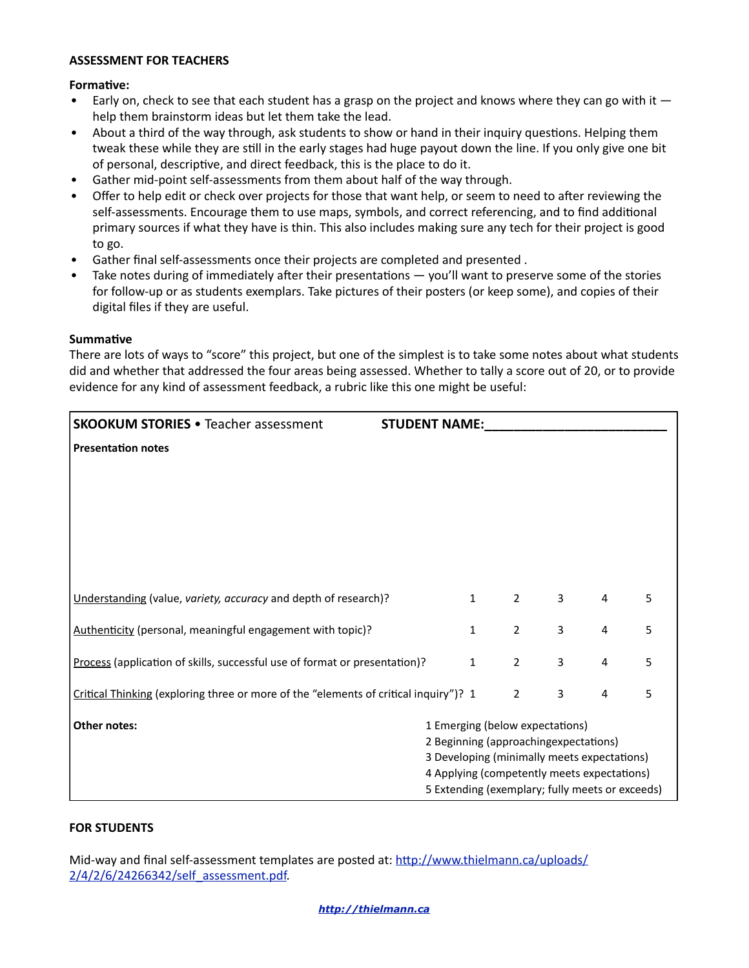#### **ASSESSMENT FOR TEACHERS**

# **Formative:**

- Early on, check to see that each student has a grasp on the project and knows where they can go with it  $$ help them brainstorm ideas but let them take the lead.
- About a third of the way through, ask students to show or hand in their inquiry questions. Helping them tweak these while they are still in the early stages had huge payout down the line. If you only give one bit of personal, descriptive, and direct feedback, this is the place to do it.
- Gather mid-point self-assessments from them about half of the way through.
- Offer to help edit or check over projects for those that want help, or seem to need to after reviewing the self-assessments. Encourage them to use maps, symbols, and correct referencing, and to find additional primary sources if what they have is thin. This also includes making sure any tech for their project is good to go.
- Gather final self-assessments once their projects are completed and presented.
- Take notes during of immediately after their presentations  $-$  you'll want to preserve some of the stories for follow-up or as students exemplars. Take pictures of their posters (or keep some), and copies of their digital files if they are useful.

#### **Summative**

There are lots of ways to "score" this project, but one of the simplest is to take some notes about what students did and whether that addressed the four areas being assessed. Whether to tally a score out of 20, or to provide evidence for any kind of assessment feedback, a rubric like this one might be useful:

| <b>Presentation notes</b>                                                  |  |                                                                                                                                                              |   |   |                                                                                                                                               |  |
|----------------------------------------------------------------------------|--|--------------------------------------------------------------------------------------------------------------------------------------------------------------|---|---|-----------------------------------------------------------------------------------------------------------------------------------------------|--|
|                                                                            |  |                                                                                                                                                              |   |   |                                                                                                                                               |  |
|                                                                            |  |                                                                                                                                                              |   |   |                                                                                                                                               |  |
|                                                                            |  |                                                                                                                                                              |   |   |                                                                                                                                               |  |
|                                                                            |  |                                                                                                                                                              |   |   |                                                                                                                                               |  |
|                                                                            |  |                                                                                                                                                              |   |   |                                                                                                                                               |  |
|                                                                            |  | $\overline{2}$                                                                                                                                               | 3 | 4 | 5                                                                                                                                             |  |
|                                                                            |  | $\overline{2}$                                                                                                                                               | 3 | 4 | 5                                                                                                                                             |  |
| Process (application of skills, successful use of format or presentation)? |  | $\overline{2}$                                                                                                                                               | 3 | 4 | 5                                                                                                                                             |  |
|                                                                            |  | $\overline{2}$                                                                                                                                               | 3 | 4 | 5                                                                                                                                             |  |
| Other notes:<br>1 Emerging (below expectations)                            |  |                                                                                                                                                              |   |   |                                                                                                                                               |  |
| 2 Beginning (approachingexpectations)                                      |  |                                                                                                                                                              |   |   |                                                                                                                                               |  |
|                                                                            |  |                                                                                                                                                              |   |   |                                                                                                                                               |  |
|                                                                            |  |                                                                                                                                                              |   |   |                                                                                                                                               |  |
|                                                                            |  | <b>STUDENT NAME:</b><br>$\mathbf{1}$<br>$\mathbf{1}$<br>$\mathbf{1}$<br>Critical Thinking (exploring three or more of the "elements of critical inquiry")? 1 |   |   | 3 Developing (minimally meets expectations)<br>4 Applying (competently meets expectations)<br>5 Extending (exemplary; fully meets or exceeds) |  |

# **FOR STUDENTS**

Mid-way and final self-assessment templates are posted at: http://www.thielmann.ca/uploads/ [2/4/2/6/24266342/self\\_assessment.pdf](http://www.thielmann.ca/uploads/2/4/2/6/24266342/self_assessment.pdf).